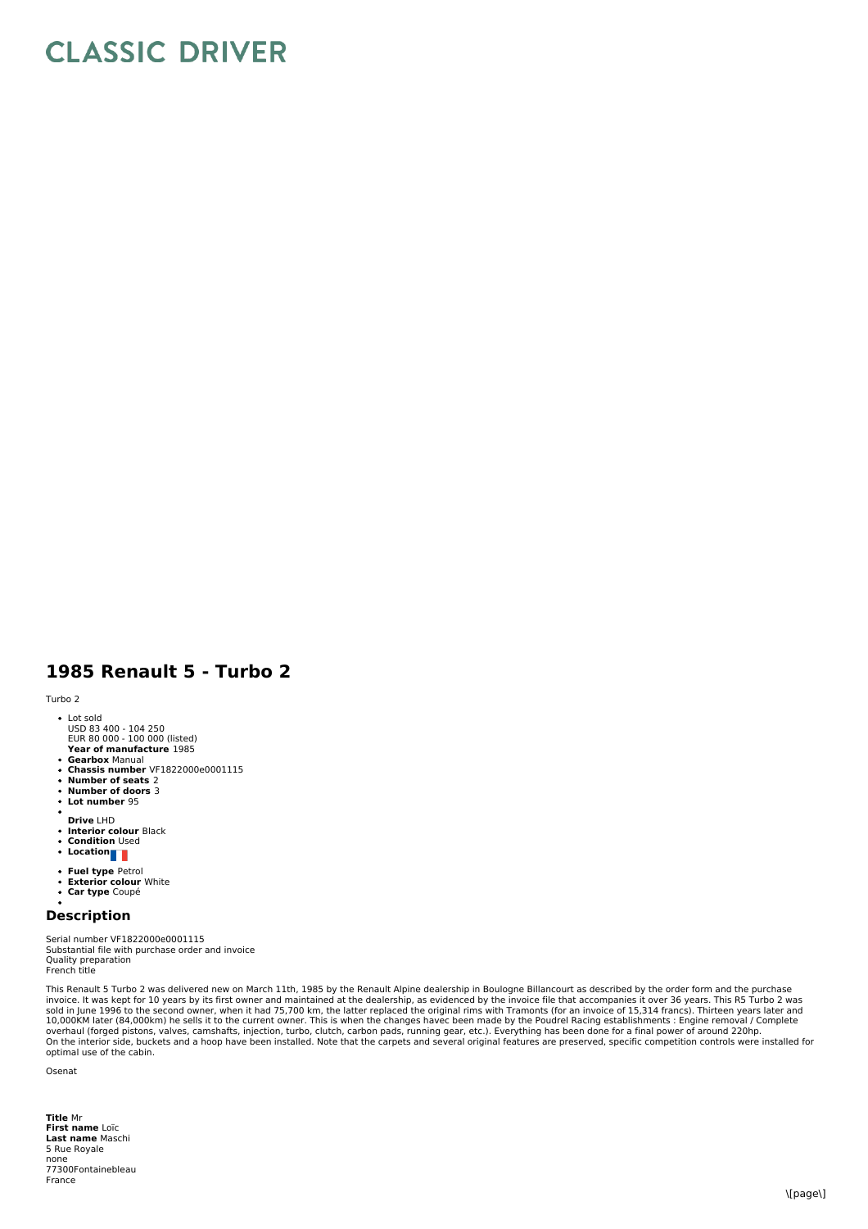## **CLASSIC DRIVER**

## **1985 Renault 5 - Turbo 2**

Turbo 2

- Lot sold
- USD 83 400 104 250 EUR 80 000 100 000 (listed)
- **Year of manufacture** 1985 **Gearbox** Manual
- **Chassis number** VF1822000e0001115
- $\ddot{\phantom{a}}$ **Number of seats** 2
- **Number of doors** 3
- $\ddot{\bullet}$ **Lot number** 95
- **Drive** LHD
- $\ddot{\phantom{a}}$
- **Interior colour** Black **Condition** Used
- **Location**
- **Fuel type** Petrol
- $\bullet$ **Exterior colour** White **Car type** Coupé  $\overline{a}$
- 

**Description**

Serial number VF1822000e0001115 Substantial file with purchase order and invoice Quality preparation French title

This Renault 5 Turbo 2 was delivered new on March 11th, 1985 by the Renault Alpine dealership in Boulogne Billancourt as described by the order form and the purchase<br>invoice. It was kept for 10 years by its first owner and

Osenat

**Title** Mr **First name** Loïc **Last name** Maschi 5 Rue Royale none 77300Fontainebleau France